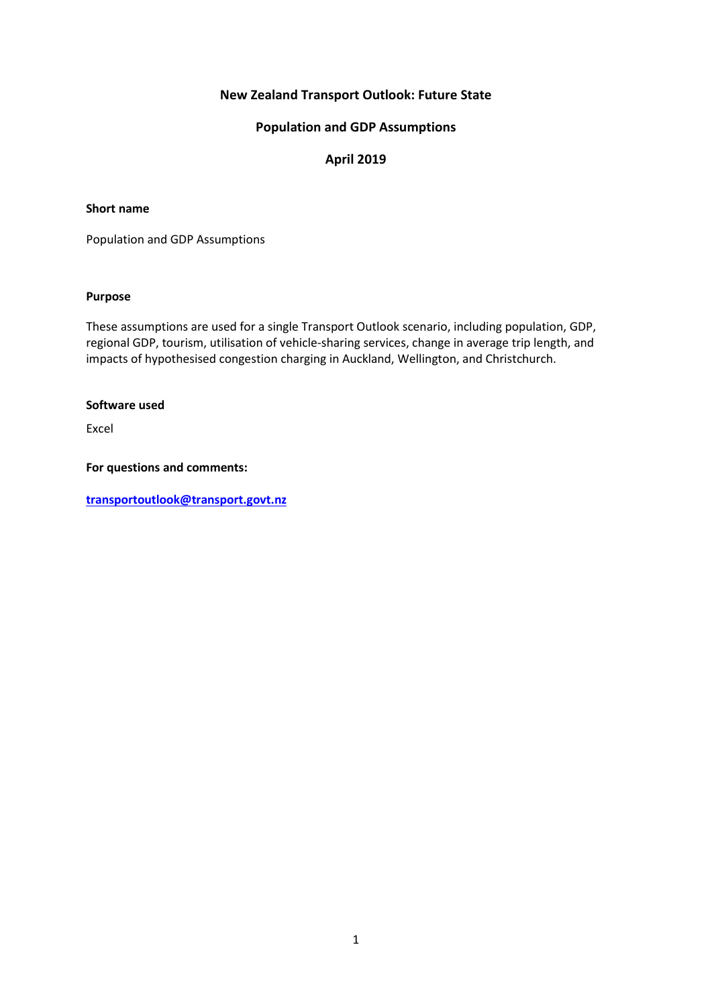# **New Zealand Transport Outlook: Future State**

## **Population and GDP Assumptions**

## **April 2019**

### **Short name**

Population and GDP Assumptions

## **Purpose**

These assumptions are used for a single Transport Outlook scenario, including population, GDP, regional GDP, tourism, utilisation of vehicle-sharing services, change in average trip length, and impacts of hypothesised congestion charging in Auckland, Wellington, and Christchurch.

#### **Software used**

Excel

### **For questions and comments:**

**[transportoutlook@transport.govt.nz](mailto:transportoutlook@transport.govt.nz)**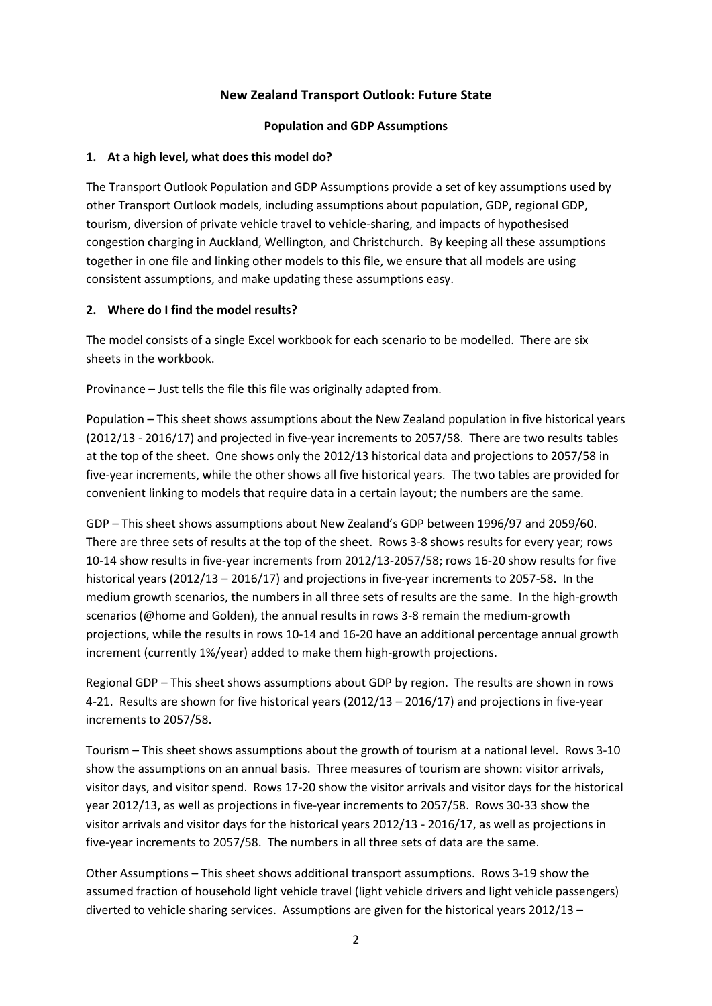# **New Zealand Transport Outlook: Future State**

## **Population and GDP Assumptions**

# **1. At a high level, what does this model do?**

The Transport Outlook Population and GDP Assumptions provide a set of key assumptions used by other Transport Outlook models, including assumptions about population, GDP, regional GDP, tourism, diversion of private vehicle travel to vehicle-sharing, and impacts of hypothesised congestion charging in Auckland, Wellington, and Christchurch. By keeping all these assumptions together in one file and linking other models to this file, we ensure that all models are using consistent assumptions, and make updating these assumptions easy.

# **2. Where do I find the model results?**

The model consists of a single Excel workbook for each scenario to be modelled. There are six sheets in the workbook.

Provinance – Just tells the file this file was originally adapted from.

Population – This sheet shows assumptions about the New Zealand population in five historical years (2012/13 - 2016/17) and projected in five-year increments to 2057/58. There are two results tables at the top of the sheet. One shows only the 2012/13 historical data and projections to 2057/58 in five-year increments, while the other shows all five historical years. The two tables are provided for convenient linking to models that require data in a certain layout; the numbers are the same.

GDP – This sheet shows assumptions about New Zealand's GDP between 1996/97 and 2059/60. There are three sets of results at the top of the sheet. Rows 3-8 shows results for every year; rows 10-14 show results in five-year increments from 2012/13-2057/58; rows 16-20 show results for five historical years (2012/13 – 2016/17) and projections in five-year increments to 2057-58. In the medium growth scenarios, the numbers in all three sets of results are the same. In the high-growth scenarios (@home and Golden), the annual results in rows 3-8 remain the medium-growth projections, while the results in rows 10-14 and 16-20 have an additional percentage annual growth increment (currently 1%/year) added to make them high-growth projections.

Regional GDP – This sheet shows assumptions about GDP by region. The results are shown in rows 4-21. Results are shown for five historical years (2012/13 – 2016/17) and projections in five-year increments to 2057/58.

Tourism – This sheet shows assumptions about the growth of tourism at a national level. Rows 3-10 show the assumptions on an annual basis. Three measures of tourism are shown: visitor arrivals, visitor days, and visitor spend. Rows 17-20 show the visitor arrivals and visitor days for the historical year 2012/13, as well as projections in five-year increments to 2057/58. Rows 30-33 show the visitor arrivals and visitor days for the historical years 2012/13 - 2016/17, as well as projections in five-year increments to 2057/58. The numbers in all three sets of data are the same.

Other Assumptions – This sheet shows additional transport assumptions. Rows 3-19 show the assumed fraction of household light vehicle travel (light vehicle drivers and light vehicle passengers) diverted to vehicle sharing services. Assumptions are given for the historical years 2012/13 –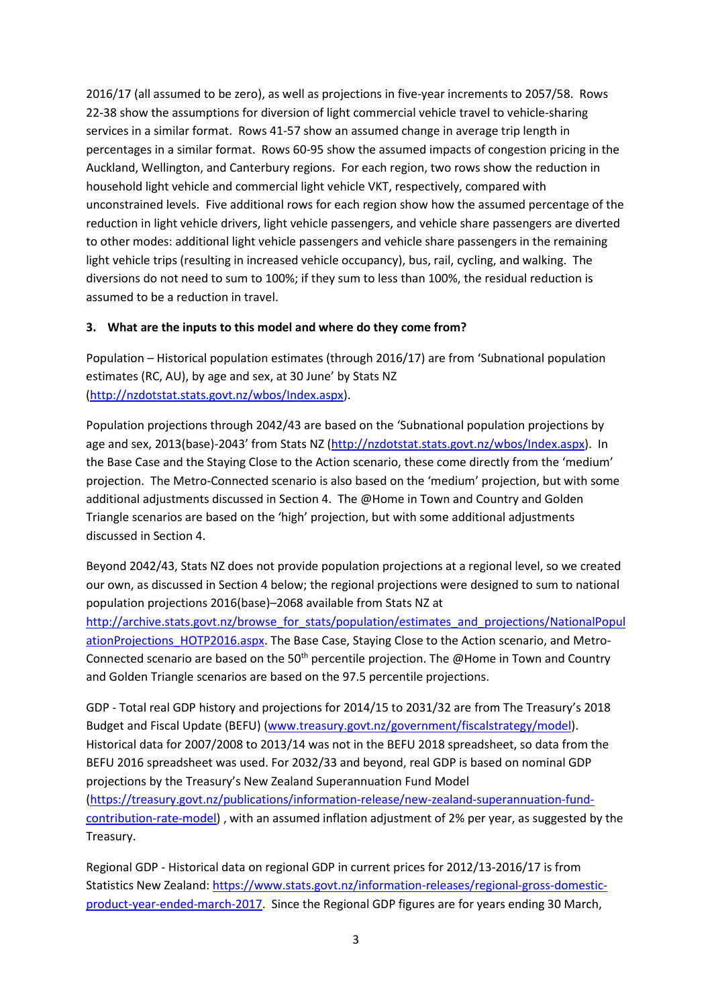2016/17 (all assumed to be zero), as well as projections in five-year increments to 2057/58. Rows 22-38 show the assumptions for diversion of light commercial vehicle travel to vehicle-sharing services in a similar format. Rows 41-57 show an assumed change in average trip length in percentages in a similar format. Rows 60-95 show the assumed impacts of congestion pricing in the Auckland, Wellington, and Canterbury regions. For each region, two rows show the reduction in household light vehicle and commercial light vehicle VKT, respectively, compared with unconstrained levels. Five additional rows for each region show how the assumed percentage of the reduction in light vehicle drivers, light vehicle passengers, and vehicle share passengers are diverted to other modes: additional light vehicle passengers and vehicle share passengers in the remaining light vehicle trips (resulting in increased vehicle occupancy), bus, rail, cycling, and walking. The diversions do not need to sum to 100%; if they sum to less than 100%, the residual reduction is assumed to be a reduction in travel.

# **3. What are the inputs to this model and where do they come from?**

Population – Historical population estimates (through 2016/17) are from 'Subnational population estimates (RC, AU), by age and sex, at 30 June' by Stats NZ [\(http://nzdotstat.stats.govt.nz/wbos/Index.aspx\)](http://nzdotstat.stats.govt.nz/wbos/Index.aspx).

Population projections through 2042/43 are based on the 'Subnational population projections by age and sex, 2013(base)-2043' from Stats NZ [\(http://nzdotstat.stats.govt.nz/wbos/Index.aspx\)](http://nzdotstat.stats.govt.nz/wbos/Index.aspx). In the Base Case and the Staying Close to the Action scenario, these come directly from the 'medium' projection. The Metro-Connected scenario is also based on the 'medium' projection, but with some additional adjustments discussed in Section 4. The @Home in Town and Country and Golden Triangle scenarios are based on the 'high' projection, but with some additional adjustments discussed in Section 4.

Beyond 2042/43, Stats NZ does not provide population projections at a regional level, so we created our own, as discussed in Section 4 below; the regional projections were designed to sum to national population projections 2016(base)–2068 available from Stats NZ at

[http://archive.stats.govt.nz/browse\\_for\\_stats/population/estimates\\_and\\_projections/NationalPopul](http://archive.stats.govt.nz/browse_for_stats/population/estimates_and_projections/NationalPopulationProjections_HOTP2016.aspx) [ationProjections\\_HOTP2016.aspx.](http://archive.stats.govt.nz/browse_for_stats/population/estimates_and_projections/NationalPopulationProjections_HOTP2016.aspx) The Base Case, Staying Close to the Action scenario, and Metro-Connected scenario are based on the  $50<sup>th</sup>$  percentile projection. The @Home in Town and Country and Golden Triangle scenarios are based on the 97.5 percentile projections.

GDP - Total real GDP history and projections for 2014/15 to 2031/32 are from The Treasury's 2018 Budget and Fiscal Update (BEFU) [\(www.treasury.govt.nz/government/fiscalstrategy/model\)](http://www.treasury.govt.nz/government/fiscalstrategy/model). Historical data for 2007/2008 to 2013/14 was not in the BEFU 2018 spreadsheet, so data from the BEFU 2016 spreadsheet was used. For 2032/33 and beyond, real GDP is based on nominal GDP projections by the Treasury's New Zealand Superannuation Fund Model [\(https://treasury.govt.nz/publications/information-release/new-zealand-superannuation-fund](https://treasury.govt.nz/publications/information-release/new-zealand-superannuation-fund-contribution-rate-model)[contribution-rate-model\)](https://treasury.govt.nz/publications/information-release/new-zealand-superannuation-fund-contribution-rate-model) , with an assumed inflation adjustment of 2% per year, as suggested by the Treasury.

Regional GDP - Historical data on regional GDP in current prices for 2012/13-2016/17 is from Statistics New Zealand: [https://www.stats.govt.nz/information-releases/regional-gross-domestic](https://www.stats.govt.nz/information-releases/regional-gross-domestic-product-year-ended-march-2017)[product-year-ended-march-2017.](https://www.stats.govt.nz/information-releases/regional-gross-domestic-product-year-ended-march-2017) Since the Regional GDP figures are for years ending 30 March,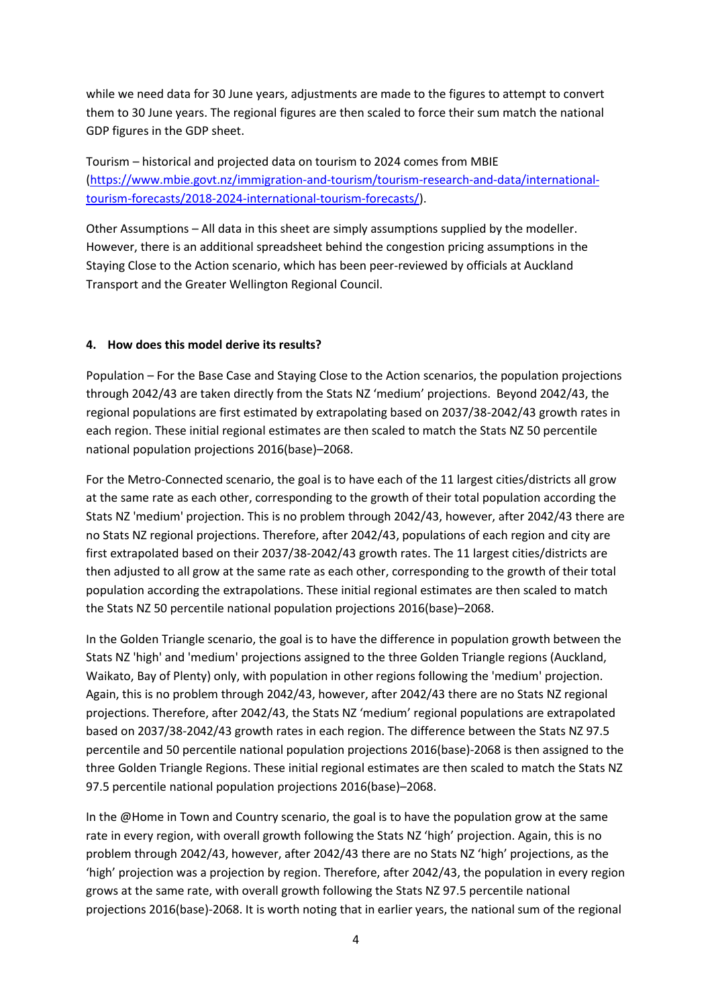while we need data for 30 June years, adjustments are made to the figures to attempt to convert them to 30 June years. The regional figures are then scaled to force their sum match the national GDP figures in the GDP sheet.

Tourism – historical and projected data on tourism to 2024 comes from MBIE [\(https://www.mbie.govt.nz/immigration-and-tourism/tourism-research-and-data/international](https://www.mbie.govt.nz/immigration-and-tourism/tourism-research-and-data/international-tourism-forecasts/2018-2024-international-tourism-forecasts/)[tourism-forecasts/2018-2024-international-tourism-forecasts/\)](https://www.mbie.govt.nz/immigration-and-tourism/tourism-research-and-data/international-tourism-forecasts/2018-2024-international-tourism-forecasts/).

Other Assumptions – All data in this sheet are simply assumptions supplied by the modeller. However, there is an additional spreadsheet behind the congestion pricing assumptions in the Staying Close to the Action scenario, which has been peer-reviewed by officials at Auckland Transport and the Greater Wellington Regional Council.

## **4. How does this model derive its results?**

Population – For the Base Case and Staying Close to the Action scenarios, the population projections through 2042/43 are taken directly from the Stats NZ 'medium' projections. Beyond 2042/43, the regional populations are first estimated by extrapolating based on 2037/38-2042/43 growth rates in each region. These initial regional estimates are then scaled to match the Stats NZ 50 percentile national population projections 2016(base)–2068.

For the Metro-Connected scenario, the goal is to have each of the 11 largest cities/districts all grow at the same rate as each other, corresponding to the growth of their total population according the Stats NZ 'medium' projection. This is no problem through 2042/43, however, after 2042/43 there are no Stats NZ regional projections. Therefore, after 2042/43, populations of each region and city are first extrapolated based on their 2037/38-2042/43 growth rates. The 11 largest cities/districts are then adjusted to all grow at the same rate as each other, corresponding to the growth of their total population according the extrapolations. These initial regional estimates are then scaled to match the Stats NZ 50 percentile national population projections 2016(base)–2068.

In the Golden Triangle scenario, the goal is to have the difference in population growth between the Stats NZ 'high' and 'medium' projections assigned to the three Golden Triangle regions (Auckland, Waikato, Bay of Plenty) only, with population in other regions following the 'medium' projection. Again, this is no problem through 2042/43, however, after 2042/43 there are no Stats NZ regional projections. Therefore, after 2042/43, the Stats NZ 'medium' regional populations are extrapolated based on 2037/38-2042/43 growth rates in each region. The difference between the Stats NZ 97.5 percentile and 50 percentile national population projections 2016(base)-2068 is then assigned to the three Golden Triangle Regions. These initial regional estimates are then scaled to match the Stats NZ 97.5 percentile national population projections 2016(base)–2068.

In the @Home in Town and Country scenario, the goal is to have the population grow at the same rate in every region, with overall growth following the Stats NZ 'high' projection. Again, this is no problem through 2042/43, however, after 2042/43 there are no Stats NZ 'high' projections, as the 'high' projection was a projection by region. Therefore, after 2042/43, the population in every region grows at the same rate, with overall growth following the Stats NZ 97.5 percentile national projections 2016(base)-2068. It is worth noting that in earlier years, the national sum of the regional